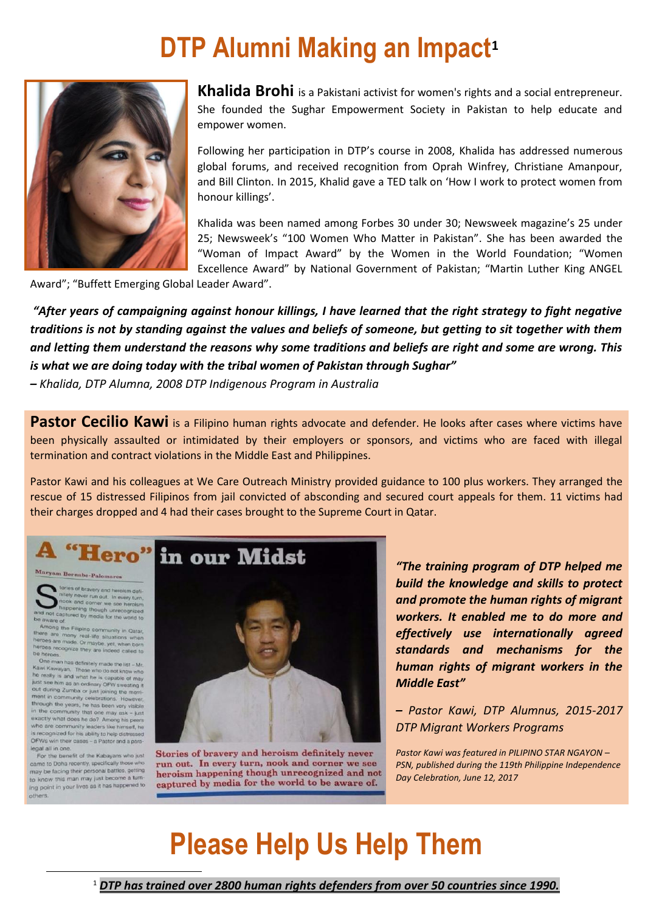### **DTP Alumni Making an Impact<sup>1</sup>**



**Khalida Brohi** is a Pakistani activist for women's rights and a social entrepreneur. She founded the Sughar Empowerment Society in Pakistan to help educate and empower women.

Following her participation in DTP's course in 2008, Khalida has addressed numerous global forums, and received recognition from Oprah Winfrey, Christiane Amanpour, and Bill Clinton. In 2015, Khalid gave a TED talk on 'How I work to protect women from honour killings'.

Khalida was been named among Forbes 30 under 30; Newsweek magazine's 25 under 25; Newsweek's "100 Women Who Matter in Pakistan". She has been awarded the "Woman of Impact Award" by the Women in the World Foundation; "Women Excellence Award" by National Government of Pakistan; "Martin Luther King ANGEL

Award"; "Buffett Emerging Global Leader Award".

*"After years of campaigning against honour killings, I have learned that the right strategy to fight negative traditions is not by standing against the values and beliefs of someone, but getting to sit together with them and letting them understand the reasons why some traditions and beliefs are right and some are wrong. This is what we are doing today with the tribal women of Pakistan through Sughar"*

*– Khalida, DTP Alumna, 2008 DTP Indigenous Program in Australia*

Pastor Cecilio Kawi is a Filipino human rights advocate and defender. He looks after cases where victims have been physically assaulted or intimidated by their employers or sponsors, and victims who are faced with illegal termination and contract violations in the Middle East and Philippines.

Pastor Kawi and his colleagues at We Care Outreach Ministry provided guidance to 100 plus workers. They arranged the rescue of 15 distressed Filipinos from jail convicted of absconding and secured court appeals for them. 11 victims had their charges dropped and 4 had their cases brought to the Supreme Court in Qatar.

tories of bravery and heroism definitely never run out. In every turn,<br>nook and corner we see heroism<br>the pepering though unrecognized<br>of captured by media for the world to<br>are of.

be aware of<br>Among the Filipino community in Qatar,<br>there are many real-life situations when<br>there are made. Or maybe, yet, when born<br>haroes recognize they are indeed called to<br>be heroes.

De nens.<br>
One man has definitely made the list - Mr.<br>
Kawi Kawayan. Those who do not know who<br>
the really is and what he is capable of may<br>
just see him as an ordinary OFW sweating it<br>
out during Zumba or just joining the ment in community celebrations. However, the ment in community celebrations. However, in the community that one may ask - just exactly what does he do? Among his peers<br>who are community leaders like himself, he is recognized for his ability to help distressed OFWs win their cases - a Pastor and a part legal all in one.

For the benefit of the Kabayans who just<br>came to Doha recently, specifically those who may be facing their personal battles, getting to know this man may just become a turn ing point in your lives as it has happened to others

 $\overline{a}$ 



Stories of bravery and heroism definitely never run out. In every turn, nook and corner we see heroism happening though unrecognized and not captured by media for the world to be aware of.

*"The training program of DTP helped me build the knowledge and skills to protect and promote the human rights of migrant workers. It enabled me to do more and effectively use internationally agreed standards and mechanisms for the human rights of migrant workers in the Middle East"* 

*– Pastor Kawi, DTP Alumnus, 2015-2017 DTP Migrant Workers Programs* 

*Pastor Kawi was featured in PILIPINO STAR NGAYON – PSN, published during the 119th Philippine Independence Day Celebration, June 12, 2017*

## **Please Help Us Help Them**

<sup>1</sup> *DTP has trained over 2800 human rights defenders from over 50 countries since 1990.*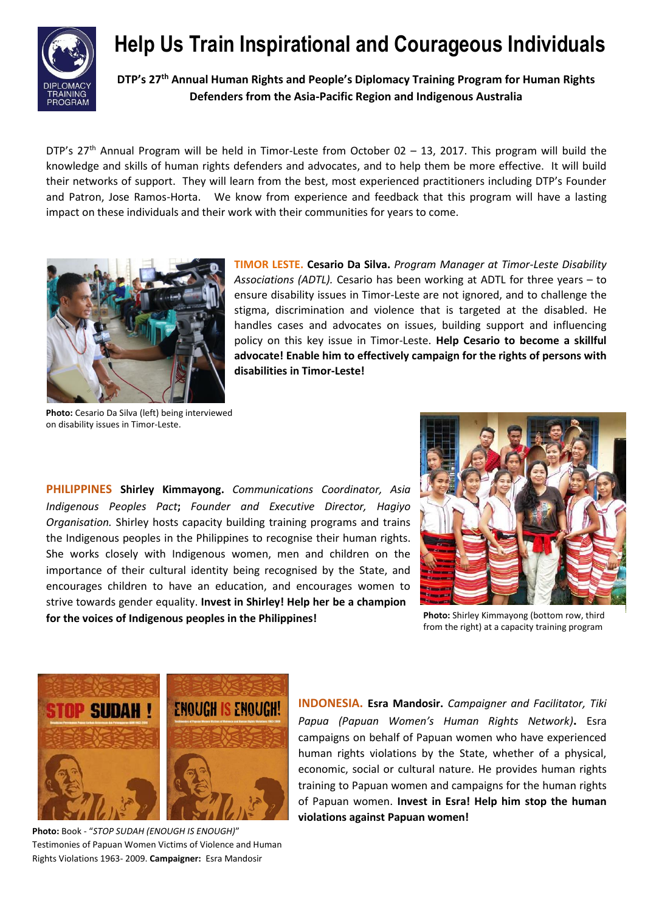

#### **Help Us Train Inspirational and Courageous Individuals**

**DTP's 27th Annual Human Rights and People's Diplomacy Training Program for Human Rights Defenders from the Asia-Pacific Region and Indigenous Australia**

DTP's 27<sup>th</sup> Annual Program will be held in Timor-Leste from October 02 – 13, 2017. This program will build the knowledge and skills of human rights defenders and advocates, and to help them be more effective. It will build their networks of support. They will learn from the best, most experienced practitioners including DTP's Founder and Patron, Jose Ramos-Horta. We know from experience and feedback that this program will have a lasting impact on these individuals and their work with their communities for years to come.



**TIMOR LESTE. Cesario Da Silva.** *Program Manager at Timor-Leste Disability Associations (ADTL).* Cesario has been working at ADTL for three years – to ensure disability issues in Timor-Leste are not ignored, and to challenge the stigma, discrimination and violence that is targeted at the disabled. He handles cases and advocates on issues, building support and influencing policy on this key issue in Timor-Leste. **Help Cesario to become a skillful advocate! Enable him to effectively campaign for the rights of persons with disabilities in Timor-Leste!**

**Photo:** Cesario Da Silva (left) being interviewed on disability issues in Timor-Leste.

**PHILIPPINES Shirley Kimmayong.** *Communications Coordinator, Asia Indigenous Peoples Pact***;** *Founder and Executive Director, Hagiyo Organisation.* Shirley hosts capacity building training programs and trains the Indigenous peoples in the Philippines to recognise their human rights. She works closely with Indigenous women, men and children on the importance of their cultural identity being recognised by the State, and encourages children to have an education, and encourages women to strive towards gender equality. **Invest in Shirley! Help her be a champion for the voices of Indigenous peoples in the Philippines!** 



**Photo:** Shirley Kimmayong (bottom row, third from the right) at a capacity training program



**Photo:** Book - "*STOP SUDAH (ENOUGH IS ENOUGH)*" Testimonies of Papuan Women Victims of Violence and Human Rights Violations 1963- 2009. **Campaigner:** Esra Mandosir

**INDONESIA. Esra Mandosir.** *Campaigner and Facilitator, Tiki Papua (Papuan Women's Human Rights Network)***.** Esra campaigns on behalf of Papuan women who have experienced human rights violations by the State, whether of a physical, economic, social or cultural nature. He provides human rights training to Papuan women and campaigns for the human rights of Papuan women. **Invest in Esra! Help him stop the human violations against Papuan women!**